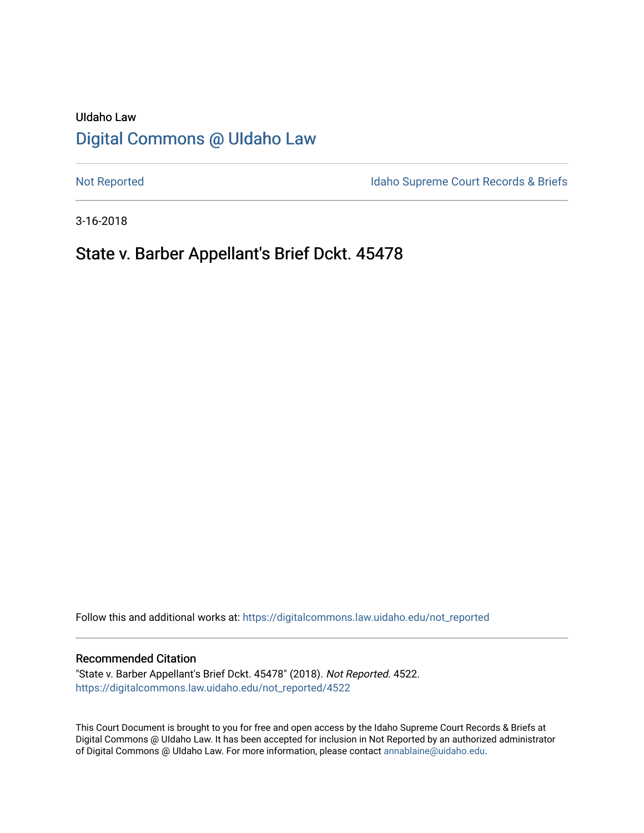# UIdaho Law [Digital Commons @ UIdaho Law](https://digitalcommons.law.uidaho.edu/)

[Not Reported](https://digitalcommons.law.uidaho.edu/not_reported) **Idaho Supreme Court Records & Briefs** 

3-16-2018

# State v. Barber Appellant's Brief Dckt. 45478

Follow this and additional works at: [https://digitalcommons.law.uidaho.edu/not\\_reported](https://digitalcommons.law.uidaho.edu/not_reported?utm_source=digitalcommons.law.uidaho.edu%2Fnot_reported%2F4522&utm_medium=PDF&utm_campaign=PDFCoverPages) 

#### Recommended Citation

"State v. Barber Appellant's Brief Dckt. 45478" (2018). Not Reported. 4522. [https://digitalcommons.law.uidaho.edu/not\\_reported/4522](https://digitalcommons.law.uidaho.edu/not_reported/4522?utm_source=digitalcommons.law.uidaho.edu%2Fnot_reported%2F4522&utm_medium=PDF&utm_campaign=PDFCoverPages)

This Court Document is brought to you for free and open access by the Idaho Supreme Court Records & Briefs at Digital Commons @ UIdaho Law. It has been accepted for inclusion in Not Reported by an authorized administrator of Digital Commons @ UIdaho Law. For more information, please contact [annablaine@uidaho.edu](mailto:annablaine@uidaho.edu).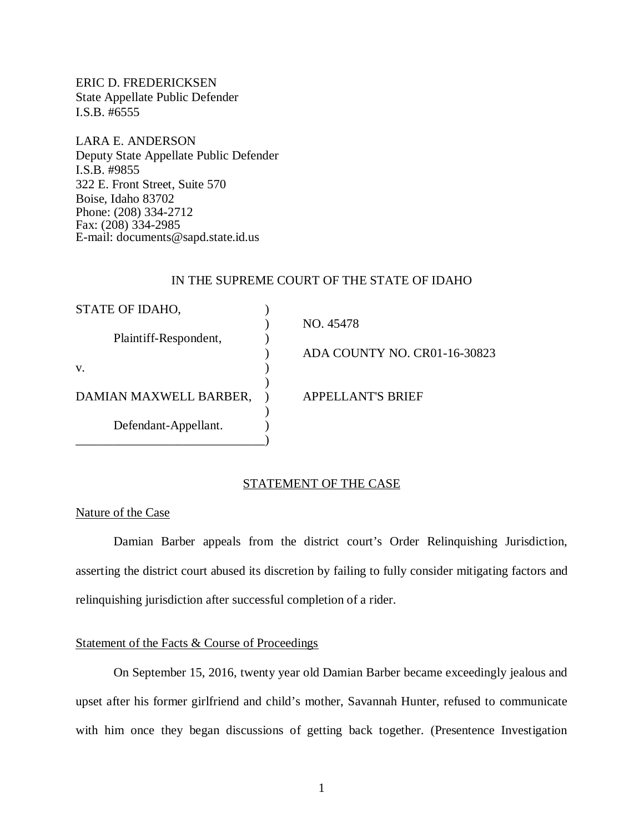ERIC D. FREDERICKSEN State Appellate Public Defender I.S.B. #6555

LARA E. ANDERSON Deputy State Appellate Public Defender I.S.B. #9855 322 E. Front Street, Suite 570 Boise, Idaho 83702 Phone: (208) 334-2712 Fax: (208) 334-2985 E-mail: documents@sapd.state.id.us

### IN THE SUPREME COURT OF THE STATE OF IDAHO

| STATE OF IDAHO,        |                              |
|------------------------|------------------------------|
|                        | NO. 45478                    |
| Plaintiff-Respondent,  |                              |
|                        | ADA COUNTY NO. CR01-16-30823 |
| V.                     |                              |
|                        |                              |
| DAMIAN MAXWELL BARBER, | <b>APPELLANT'S BRIEF</b>     |
|                        |                              |
| Defendant-Appellant.   |                              |
|                        |                              |

### STATEMENT OF THE CASE

#### Nature of the Case

Damian Barber appeals from the district court's Order Relinquishing Jurisdiction, asserting the district court abused its discretion by failing to fully consider mitigating factors and relinquishing jurisdiction after successful completion of a rider.

## Statement of the Facts & Course of Proceedings

On September 15, 2016, twenty year old Damian Barber became exceedingly jealous and upset after his former girlfriend and child's mother, Savannah Hunter, refused to communicate with him once they began discussions of getting back together. (Presentence Investigation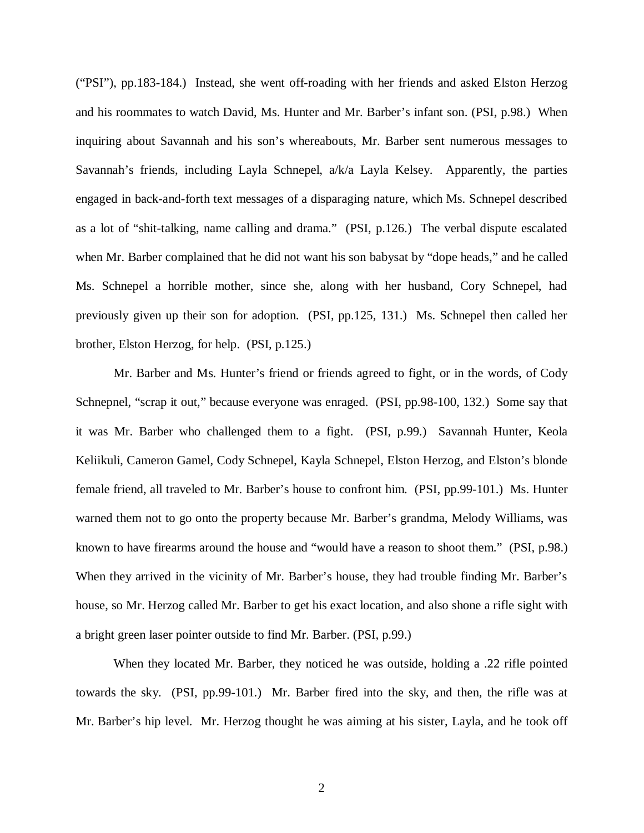("PSI"), pp.183-184.) Instead, she went off-roading with her friends and asked Elston Herzog and his roommates to watch David, Ms. Hunter and Mr. Barber's infant son. (PSI, p.98.) When inquiring about Savannah and his son's whereabouts, Mr. Barber sent numerous messages to Savannah's friends, including Layla Schnepel, a/k/a Layla Kelsey. Apparently, the parties engaged in back-and-forth text messages of a disparaging nature, which Ms. Schnepel described as a lot of "shit-talking, name calling and drama." (PSI, p.126.) The verbal dispute escalated when Mr. Barber complained that he did not want his son babysat by "dope heads," and he called Ms. Schnepel a horrible mother, since she, along with her husband, Cory Schnepel, had previously given up their son for adoption. (PSI, pp.125, 131.) Ms. Schnepel then called her brother, Elston Herzog, for help. (PSI, p.125.)

Mr. Barber and Ms. Hunter's friend or friends agreed to fight, or in the words, of Cody Schnepnel, "scrap it out," because everyone was enraged. (PSI, pp.98-100, 132.) Some say that it was Mr. Barber who challenged them to a fight. (PSI, p.99.) Savannah Hunter, Keola Keliikuli, Cameron Gamel, Cody Schnepel, Kayla Schnepel, Elston Herzog, and Elston's blonde female friend, all traveled to Mr. Barber's house to confront him. (PSI, pp.99-101.) Ms. Hunter warned them not to go onto the property because Mr. Barber's grandma, Melody Williams, was known to have firearms around the house and "would have a reason to shoot them." (PSI, p.98.) When they arrived in the vicinity of Mr. Barber's house, they had trouble finding Mr. Barber's house, so Mr. Herzog called Mr. Barber to get his exact location, and also shone a rifle sight with a bright green laser pointer outside to find Mr. Barber. (PSI, p.99.)

When they located Mr. Barber, they noticed he was outside, holding a .22 rifle pointed towards the sky. (PSI, pp.99-101.) Mr. Barber fired into the sky, and then, the rifle was at Mr. Barber's hip level. Mr. Herzog thought he was aiming at his sister, Layla, and he took off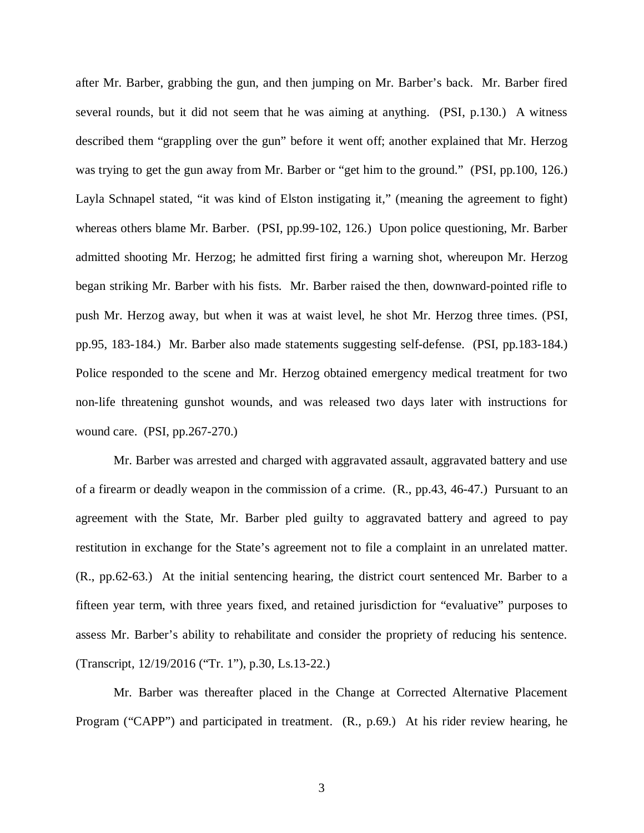after Mr. Barber, grabbing the gun, and then jumping on Mr. Barber's back. Mr. Barber fired several rounds, but it did not seem that he was aiming at anything. (PSI, p.130.) A witness described them "grappling over the gun" before it went off; another explained that Mr. Herzog was trying to get the gun away from Mr. Barber or "get him to the ground." (PSI, pp.100, 126.) Layla Schnapel stated, "it was kind of Elston instigating it," (meaning the agreement to fight) whereas others blame Mr. Barber. (PSI, pp.99-102, 126.) Upon police questioning, Mr. Barber admitted shooting Mr. Herzog; he admitted first firing a warning shot, whereupon Mr. Herzog began striking Mr. Barber with his fists. Mr. Barber raised the then, downward-pointed rifle to push Mr. Herzog away, but when it was at waist level, he shot Mr. Herzog three times. (PSI, pp.95, 183-184.) Mr. Barber also made statements suggesting self-defense. (PSI, pp.183-184.) Police responded to the scene and Mr. Herzog obtained emergency medical treatment for two non-life threatening gunshot wounds, and was released two days later with instructions for wound care. (PSI, pp.267-270.)

Mr. Barber was arrested and charged with aggravated assault, aggravated battery and use of a firearm or deadly weapon in the commission of a crime. (R., pp.43, 46-47.) Pursuant to an agreement with the State, Mr. Barber pled guilty to aggravated battery and agreed to pay restitution in exchange for the State's agreement not to file a complaint in an unrelated matter. (R., pp.62-63.) At the initial sentencing hearing, the district court sentenced Mr. Barber to a fifteen year term, with three years fixed, and retained jurisdiction for "evaluative" purposes to assess Mr. Barber's ability to rehabilitate and consider the propriety of reducing his sentence. (Transcript, 12/19/2016 ("Tr. 1"), p.30, Ls.13-22.)

Mr. Barber was thereafter placed in the Change at Corrected Alternative Placement Program ("CAPP") and participated in treatment. (R., p.69.) At his rider review hearing, he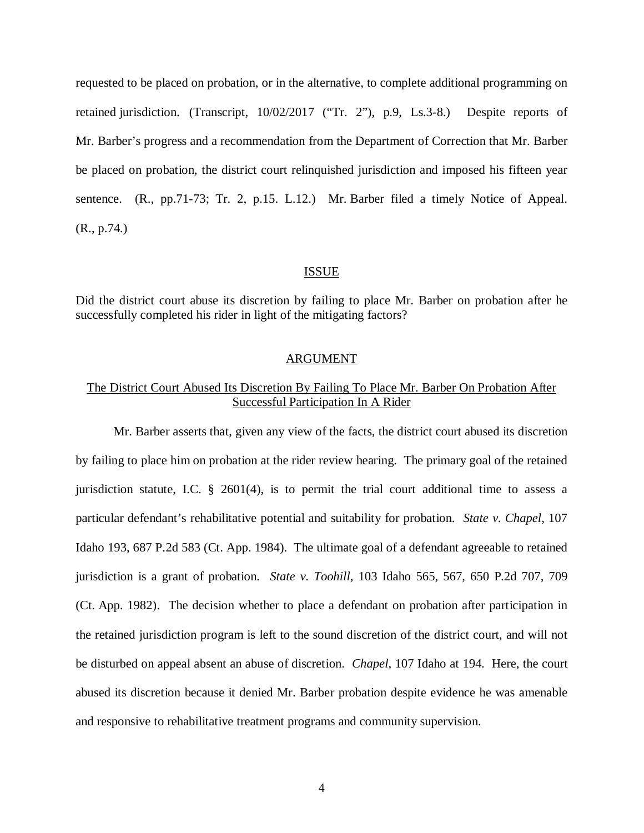requested to be placed on probation, or in the alternative, to complete additional programming on retained jurisdiction. (Transcript, 10/02/2017 ("Tr. 2"), p.9, Ls.3-8.) Despite reports of Mr. Barber's progress and a recommendation from the Department of Correction that Mr. Barber be placed on probation, the district court relinquished jurisdiction and imposed his fifteen year sentence. (R., pp.71-73; Tr. 2, p.15. L.12.) Mr. Barber filed a timely Notice of Appeal. (R., p.74.)

#### ISSUE

Did the district court abuse its discretion by failing to place Mr. Barber on probation after he successfully completed his rider in light of the mitigating factors?

#### ARGUMENT

# The District Court Abused Its Discretion By Failing To Place Mr. Barber On Probation After Successful Participation In A Rider

Mr. Barber asserts that, given any view of the facts, the district court abused its discretion by failing to place him on probation at the rider review hearing. The primary goal of the retained jurisdiction statute, I.C. § 2601(4), is to permit the trial court additional time to assess a particular defendant's rehabilitative potential and suitability for probation. *State v. Chapel*, 107 Idaho 193, 687 P.2d 583 (Ct. App. 1984). The ultimate goal of a defendant agreeable to retained jurisdiction is a grant of probation. *State v. Toohill*, 103 Idaho 565, 567, 650 P.2d 707, 709 (Ct. App. 1982). The decision whether to place a defendant on probation after participation in the retained jurisdiction program is left to the sound discretion of the district court, and will not be disturbed on appeal absent an abuse of discretion. *Chapel*, 107 Idaho at 194. Here, the court abused its discretion because it denied Mr. Barber probation despite evidence he was amenable and responsive to rehabilitative treatment programs and community supervision.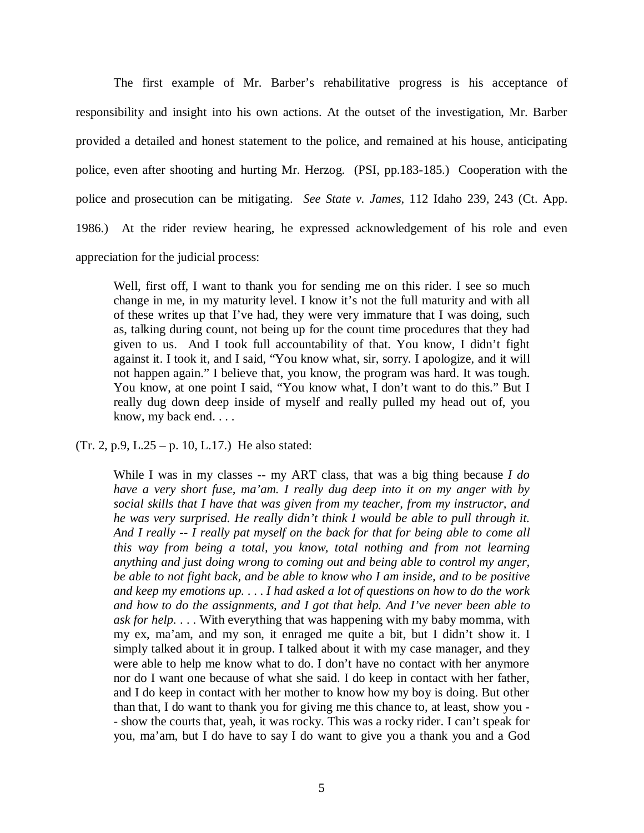The first example of Mr. Barber's rehabilitative progress is his acceptance of responsibility and insight into his own actions. At the outset of the investigation, Mr. Barber provided a detailed and honest statement to the police, and remained at his house, anticipating police, even after shooting and hurting Mr. Herzog. (PSI, pp.183-185.) Cooperation with the police and prosecution can be mitigating. *See State v. James*, 112 Idaho 239, 243 (Ct. App. 1986.) At the rider review hearing, he expressed acknowledgement of his role and even appreciation for the judicial process:

Well, first off, I want to thank you for sending me on this rider. I see so much change in me, in my maturity level. I know it's not the full maturity and with all of these writes up that I've had, they were very immature that I was doing, such as, talking during count, not being up for the count time procedures that they had given to us. And I took full accountability of that. You know, I didn't fight against it. I took it, and I said, "You know what, sir, sorry. I apologize, and it will not happen again." I believe that, you know, the program was hard. It was tough. You know, at one point I said, "You know what, I don't want to do this." But I really dug down deep inside of myself and really pulled my head out of, you know, my back end. . . .

(Tr. 2, p.9, L.25 – p. 10, L.17.) He also stated:

While I was in my classes -- my ART class, that was a big thing because *I do have a very short fuse, ma'am. I really dug deep into it on my anger with by social skills that I have that was given from my teacher, from my instructor, and he was very surprised. He really didn't think I would be able to pull through it. And I really -- I really pat myself on the back for that for being able to come all this way from being a total, you know, total nothing and from not learning anything and just doing wrong to coming out and being able to control my anger, be able to not fight back, and be able to know who I am inside, and to be positive and keep my emotions up.* . . . *I had asked a lot of questions on how to do the work and how to do the assignments, and I got that help. And I've never been able to ask for help.* . . . With everything that was happening with my baby momma, with my ex, ma'am, and my son, it enraged me quite a bit, but I didn't show it. I simply talked about it in group. I talked about it with my case manager, and they were able to help me know what to do. I don't have no contact with her anymore nor do I want one because of what she said. I do keep in contact with her father, and I do keep in contact with her mother to know how my boy is doing. But other than that, I do want to thank you for giving me this chance to, at least, show you - - show the courts that, yeah, it was rocky. This was a rocky rider. I can't speak for you, ma'am, but I do have to say I do want to give you a thank you and a God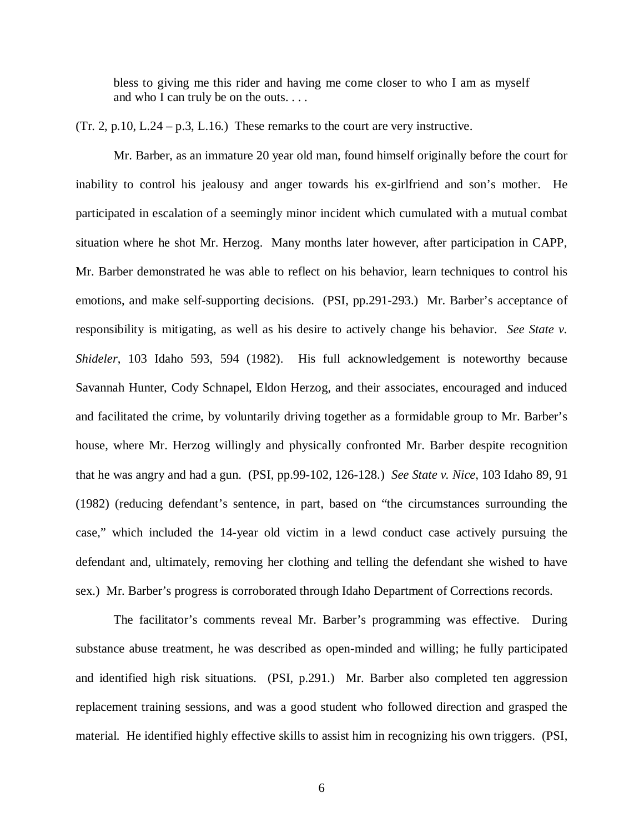bless to giving me this rider and having me come closer to who I am as myself and who I can truly be on the outs. . . .

(Tr. 2, p.10, L.24 – p.3, L.16.) These remarks to the court are very instructive.

Mr. Barber, as an immature 20 year old man, found himself originally before the court for inability to control his jealousy and anger towards his ex-girlfriend and son's mother. He participated in escalation of a seemingly minor incident which cumulated with a mutual combat situation where he shot Mr. Herzog. Many months later however, after participation in CAPP, Mr. Barber demonstrated he was able to reflect on his behavior, learn techniques to control his emotions, and make self-supporting decisions. (PSI, pp.291-293.) Mr. Barber's acceptance of responsibility is mitigating, as well as his desire to actively change his behavior. *See State v. Shideler*, 103 Idaho 593, 594 (1982). His full acknowledgement is noteworthy because Savannah Hunter, Cody Schnapel, Eldon Herzog, and their associates, encouraged and induced and facilitated the crime, by voluntarily driving together as a formidable group to Mr. Barber's house, where Mr. Herzog willingly and physically confronted Mr. Barber despite recognition that he was angry and had a gun. (PSI, pp.99-102, 126-128.) *See State v. Nice*, 103 Idaho 89, 91 (1982) (reducing defendant's sentence, in part, based on "the circumstances surrounding the case," which included the 14-year old victim in a lewd conduct case actively pursuing the defendant and, ultimately, removing her clothing and telling the defendant she wished to have sex.) Mr. Barber's progress is corroborated through Idaho Department of Corrections records.

The facilitator's comments reveal Mr. Barber's programming was effective. During substance abuse treatment, he was described as open-minded and willing; he fully participated and identified high risk situations. (PSI, p.291.) Mr. Barber also completed ten aggression replacement training sessions, and was a good student who followed direction and grasped the material. He identified highly effective skills to assist him in recognizing his own triggers. (PSI,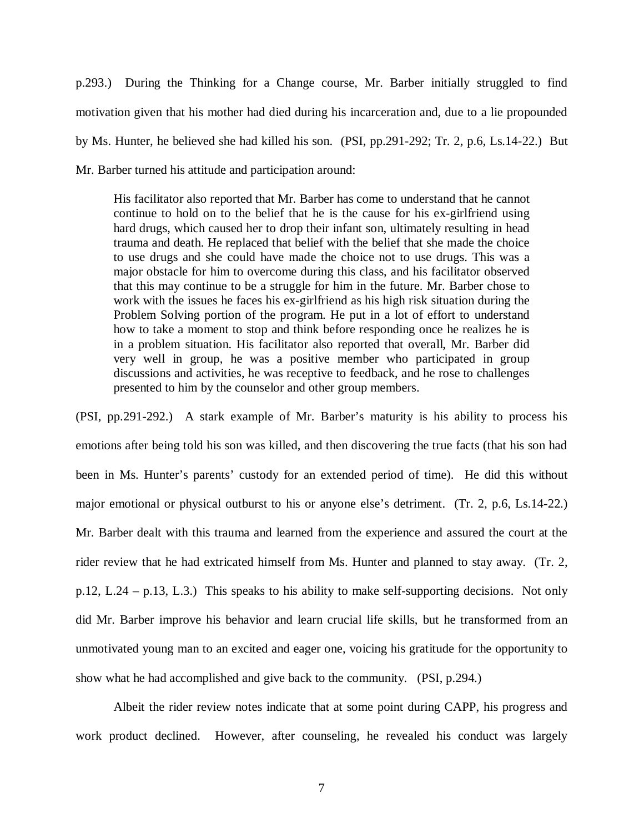p.293.) During the Thinking for a Change course, Mr. Barber initially struggled to find motivation given that his mother had died during his incarceration and, due to a lie propounded by Ms. Hunter, he believed she had killed his son. (PSI, pp.291-292; Tr. 2, p.6, Ls.14-22.) But Mr. Barber turned his attitude and participation around:

His facilitator also reported that Mr. Barber has come to understand that he cannot continue to hold on to the belief that he is the cause for his ex-girlfriend using hard drugs, which caused her to drop their infant son, ultimately resulting in head trauma and death. He replaced that belief with the belief that she made the choice to use drugs and she could have made the choice not to use drugs. This was a major obstacle for him to overcome during this class, and his facilitator observed that this may continue to be a struggle for him in the future. Mr. Barber chose to work with the issues he faces his ex-girlfriend as his high risk situation during the Problem Solving portion of the program. He put in a lot of effort to understand how to take a moment to stop and think before responding once he realizes he is in a problem situation. His facilitator also reported that overall, Mr. Barber did very well in group, he was a positive member who participated in group discussions and activities, he was receptive to feedback, and he rose to challenges presented to him by the counselor and other group members.

(PSI, pp.291-292.) A stark example of Mr. Barber's maturity is his ability to process his emotions after being told his son was killed, and then discovering the true facts (that his son had been in Ms. Hunter's parents' custody for an extended period of time). He did this without major emotional or physical outburst to his or anyone else's detriment. (Tr. 2, p.6, Ls.14-22.) Mr. Barber dealt with this trauma and learned from the experience and assured the court at the rider review that he had extricated himself from Ms. Hunter and planned to stay away. (Tr. 2, p.12, L.24 – p.13, L.3.) This speaks to his ability to make self-supporting decisions. Not only did Mr. Barber improve his behavior and learn crucial life skills, but he transformed from an unmotivated young man to an excited and eager one, voicing his gratitude for the opportunity to show what he had accomplished and give back to the community. (PSI, p.294.)

Albeit the rider review notes indicate that at some point during CAPP, his progress and work product declined. However, after counseling, he revealed his conduct was largely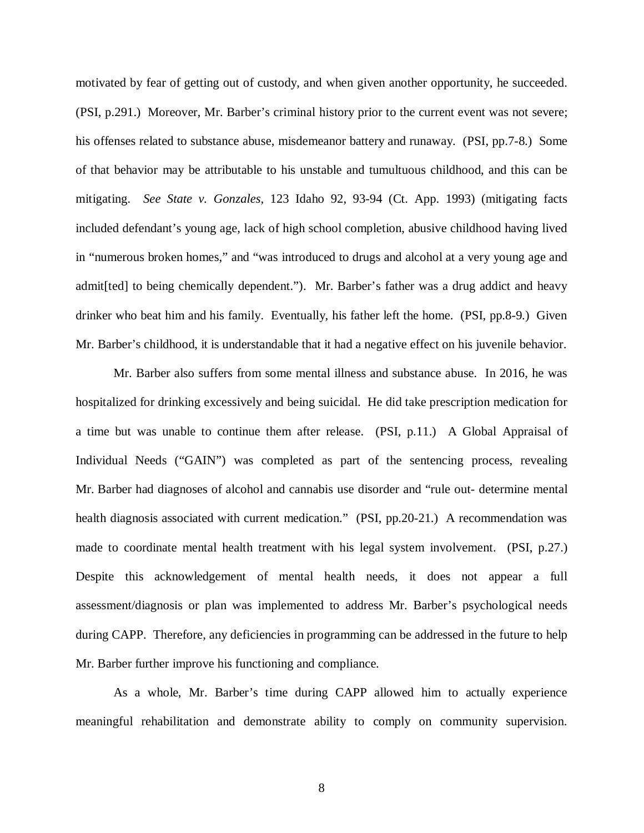motivated by fear of getting out of custody, and when given another opportunity, he succeeded. (PSI, p.291.) Moreover, Mr. Barber's criminal history prior to the current event was not severe; his offenses related to substance abuse, misdemeanor battery and runaway. (PSI, pp.7-8.) Some of that behavior may be attributable to his unstable and tumultuous childhood, and this can be mitigating. *See State v. Gonzales*, 123 Idaho 92, 93-94 (Ct. App. 1993) (mitigating facts included defendant's young age, lack of high school completion, abusive childhood having lived in "numerous broken homes," and "was introduced to drugs and alcohol at a very young age and admit[ted] to being chemically dependent."). Mr. Barber's father was a drug addict and heavy drinker who beat him and his family. Eventually, his father left the home. (PSI, pp.8-9.) Given Mr. Barber's childhood, it is understandable that it had a negative effect on his juvenile behavior.

Mr. Barber also suffers from some mental illness and substance abuse. In 2016, he was hospitalized for drinking excessively and being suicidal. He did take prescription medication for a time but was unable to continue them after release. (PSI, p.11.) A Global Appraisal of Individual Needs ("GAIN") was completed as part of the sentencing process, revealing Mr. Barber had diagnoses of alcohol and cannabis use disorder and "rule out- determine mental health diagnosis associated with current medication." (PSI, pp.20-21.) A recommendation was made to coordinate mental health treatment with his legal system involvement. (PSI, p.27.) Despite this acknowledgement of mental health needs, it does not appear a full assessment/diagnosis or plan was implemented to address Mr. Barber's psychological needs during CAPP. Therefore, any deficiencies in programming can be addressed in the future to help Mr. Barber further improve his functioning and compliance.

As a whole, Mr. Barber's time during CAPP allowed him to actually experience meaningful rehabilitation and demonstrate ability to comply on community supervision.

8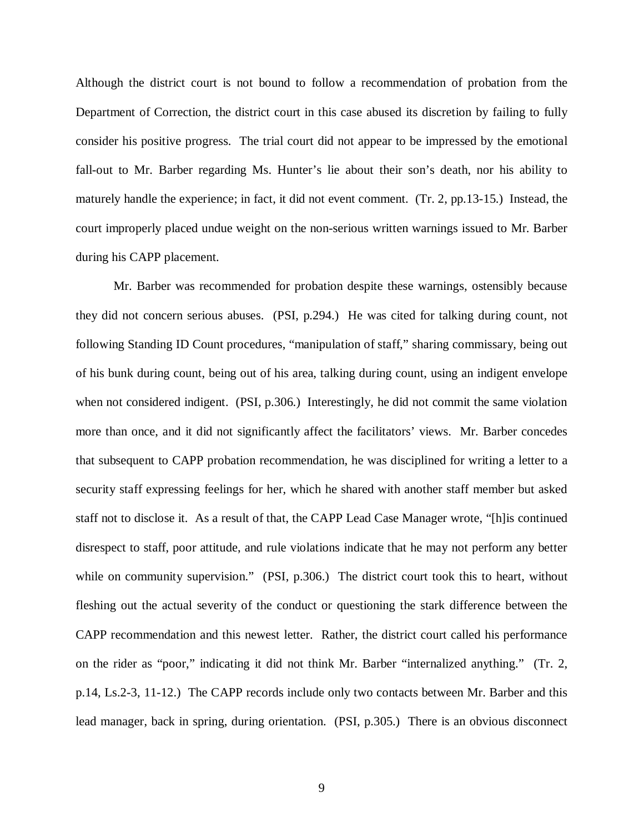Although the district court is not bound to follow a recommendation of probation from the Department of Correction, the district court in this case abused its discretion by failing to fully consider his positive progress. The trial court did not appear to be impressed by the emotional fall-out to Mr. Barber regarding Ms. Hunter's lie about their son's death, nor his ability to maturely handle the experience; in fact, it did not event comment. (Tr. 2, pp.13-15.) Instead, the court improperly placed undue weight on the non-serious written warnings issued to Mr. Barber during his CAPP placement.

Mr. Barber was recommended for probation despite these warnings, ostensibly because they did not concern serious abuses. (PSI, p.294.) He was cited for talking during count, not following Standing ID Count procedures, "manipulation of staff," sharing commissary, being out of his bunk during count, being out of his area, talking during count, using an indigent envelope when not considered indigent. (PSI, p.306.) Interestingly, he did not commit the same violation more than once, and it did not significantly affect the facilitators' views. Mr. Barber concedes that subsequent to CAPP probation recommendation, he was disciplined for writing a letter to a security staff expressing feelings for her, which he shared with another staff member but asked staff not to disclose it. As a result of that, the CAPP Lead Case Manager wrote, "[h]is continued disrespect to staff, poor attitude, and rule violations indicate that he may not perform any better while on community supervision." (PSI, p.306.) The district court took this to heart, without fleshing out the actual severity of the conduct or questioning the stark difference between the CAPP recommendation and this newest letter. Rather, the district court called his performance on the rider as "poor," indicating it did not think Mr. Barber "internalized anything." (Tr. 2, p.14, Ls.2-3, 11-12.) The CAPP records include only two contacts between Mr. Barber and this lead manager, back in spring, during orientation. (PSI, p.305.) There is an obvious disconnect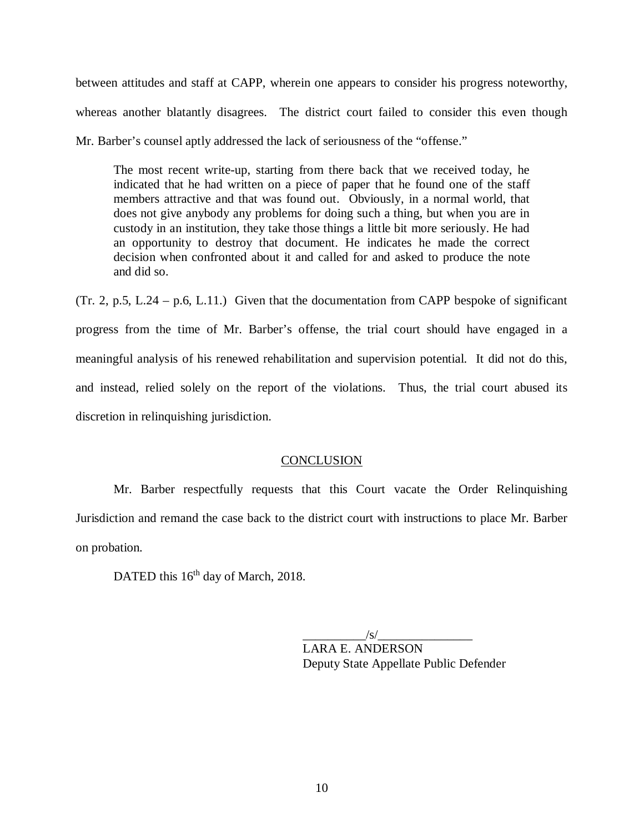between attitudes and staff at CAPP, wherein one appears to consider his progress noteworthy, whereas another blatantly disagrees. The district court failed to consider this even though Mr. Barber's counsel aptly addressed the lack of seriousness of the "offense."

The most recent write-up, starting from there back that we received today, he indicated that he had written on a piece of paper that he found one of the staff members attractive and that was found out. Obviously, in a normal world, that does not give anybody any problems for doing such a thing, but when you are in custody in an institution, they take those things a little bit more seriously. He had an opportunity to destroy that document. He indicates he made the correct decision when confronted about it and called for and asked to produce the note and did so.

(Tr. 2, p.5, L.24 – p.6, L.11.) Given that the documentation from CAPP bespoke of significant progress from the time of Mr. Barber's offense, the trial court should have engaged in a meaningful analysis of his renewed rehabilitation and supervision potential. It did not do this, and instead, relied solely on the report of the violations. Thus, the trial court abused its discretion in relinquishing jurisdiction.

# **CONCLUSION**

Mr. Barber respectfully requests that this Court vacate the Order Relinquishing Jurisdiction and remand the case back to the district court with instructions to place Mr. Barber on probation.

DATED this 16<sup>th</sup> day of March, 2018.

 $\frac{|S|}{|S|}$ LARA E. ANDERSON Deputy State Appellate Public Defender